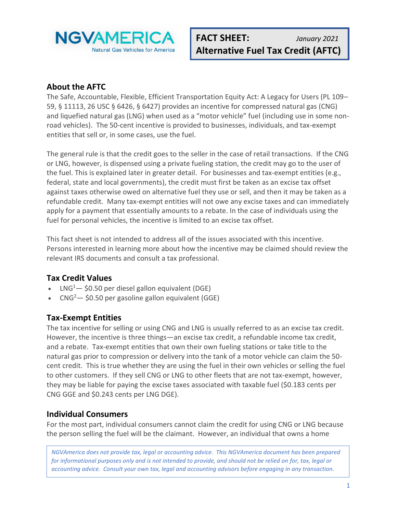

### **About the AFTC**

The Safe, Accountable, Flexible, Efficient Transportation Equity Act: A Legacy for Users (PL 109– 59, § 11113, 26 USC § 6426, § 6427) provides an incentive for compressed natural gas (CNG) and liquefied natural gas (LNG) when used as a "motor vehicle" fuel (including use in some nonroad vehicles). The 50-cent incentive is provided to businesses, individuals, and tax-exempt entities that sell or, in some cases, use the fuel.

The general rule is that the credit goes to the seller in the case of retail transactions. If the CNG or LNG, however, is dispensed using a private fueling station, the credit may go to the user of the fuel. This is explained later in greater detail. For businesses and tax-exempt entities (e.g., federal, state and local governments), the credit must first be taken as an excise tax offset against taxes otherwise owed on alternative fuel they use or sell, and then it may be taken as a refundable credit. Many tax-exempt entities will not owe any excise taxes and can immediately apply for a payment that essentially amounts to a rebate. In the case of individuals using the fuel for personal vehicles, the incentive is limited to an excise tax offset.

This fact sheet is not intended to address all of the issues associated with this incentive. Persons interested in learning more about how the incentive may be claimed should review the relevant IRS documents and consult a tax professional.

### **Tax Credit Values**

- $LNG<sup>1</sup>$   $-$  \$0.50 per diesel gallon equivalent (DGE)
- CNG<sup>2</sup>  $-$  \$0.50 per gasoline gallon equivalent (GGE)

### **Tax-Exempt Entities**

The tax incentive for selling or using CNG and LNG is usually referred to as an excise tax credit. However, the incentive is three things—an excise tax credit, a refundable income tax credit, and a rebate. Tax-exempt entities that own their own fueling stations or take title to the natural gas prior to compression or delivery into the tank of a motor vehicle can claim the 50 cent credit. This is true whether they are using the fuel in their own vehicles or selling the fuel to other customers. If they sell CNG or LNG to other fleets that are not tax-exempt, however, they may be liable for paying the excise taxes associated with taxable fuel (\$0.183 cents per CNG GGE and \$0.243 cents per LNG DGE).

### **Individual Consumers**

For the most part, individual consumers cannot claim the credit for using CNG or LNG because the person selling the fuel will be the claimant. However, an individual that owns a home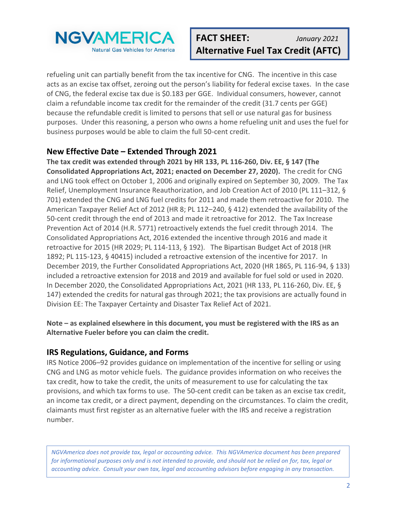

refueling unit can partially benefit from the tax incentive for CNG. The incentive in this case acts as an excise tax offset, zeroing out the person's liability for federal excise taxes. In the case of CNG, the federal excise tax due is \$0.183 per GGE. Individual consumers, however, cannot claim a refundable income tax credit for the remainder of the credit (31.7 cents per GGE) because the refundable credit is limited to persons that sell or use natural gas for business purposes. Under this reasoning, a person who owns a home refueling unit and uses the fuel for business purposes would be able to claim the full 50-cent credit.

### **New Effective Date – Extended Through 2021**

**The tax credit was extended through 2021 by HR 133, PL 116-260, Div. EE, § 147 (The Consolidated Appropriations Act, 2021; enacted on December 27, 2020).** The credit for CNG and LNG took effect on October 1, 2006 and originally expired on September 30, 2009. The Tax Relief, Unemployment Insurance Reauthorization, and Job Creation Act of 2010 (PL 111–312, § 701) extended the CNG and LNG fuel credits for 2011 and made them retroactive for 2010. The American Taxpayer Relief Act of 2012 (HR 8; PL 112–240, § 412) extended the availability of the 50-cent credit through the end of 2013 and made it retroactive for 2012. The Tax Increase Prevention Act of 2014 (H.R. 5771) retroactively extends the fuel credit through 2014. The Consolidated Appropriations Act, 2016 extended the incentive through 2016 and made it retroactive for 2015 (HR 2029; PL 114-113, § 192). The Bipartisan Budget Act of 2018 (HR 1892; PL 115-123, § 40415) included a retroactive extension of the incentive for 2017. In December 2019, the Further Consolidated Appropriations Act, 2020 (HR 1865, PL 116-94, § 133) included a retroactive extension for 2018 and 2019 and available for fuel sold or used in 2020. In December 2020, the Consolidated Appropriations Act, 2021 (HR 133, PL 116-260, Div. EE, § 147) extended the credits for natural gas through 2021; the tax provisions are actually found in Division EE: The Taxpayer Certainty and Disaster Tax Relief Act of 2021.

**Note – as explained elsewhere in this document, you must be registered with the IRS as an Alternative Fueler before you can claim the credit.**

### **IRS Regulations, Guidance, and Forms**

IRS Notice 2006–92 provides guidance on implementation of the incentive for selling or using CNG and LNG as motor vehicle fuels. The guidance provides information on who receives the tax credit, how to take the credit, the units of measurement to use for calculating the tax provisions, and which tax forms to use. The 50-cent credit can be taken as an excise tax credit, an income tax credit, or a direct payment, depending on the circumstances. To claim the credit, claimants must first register as an alternative fueler with the IRS and receive a registration number.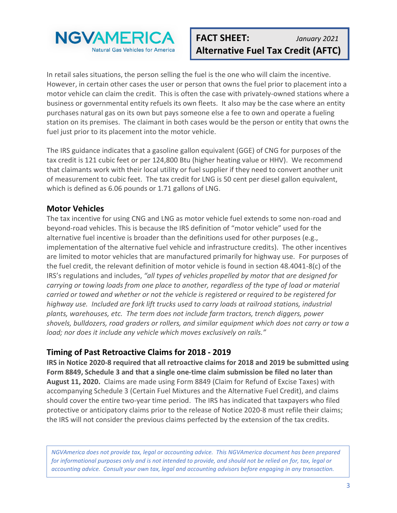

In retail sales situations, the person selling the fuel is the one who will claim the incentive. However, in certain other cases the user or person that owns the fuel prior to placement into a motor vehicle can claim the credit. This is often the case with privately-owned stations where a business or governmental entity refuels its own fleets. It also may be the case where an entity purchases natural gas on its own but pays someone else a fee to own and operate a fueling station on its premises. The claimant in both cases would be the person or entity that owns the fuel just prior to its placement into the motor vehicle.

The IRS guidance indicates that a gasoline gallon equivalent (GGE) of CNG for purposes of the tax credit is 121 cubic feet or per 124,800 Btu (higher heating value or HHV). We recommend that claimants work with their local utility or fuel supplier if they need to convert another unit of measurement to cubic feet. The tax credit for LNG is 50 cent per diesel gallon equivalent, which is defined as 6.06 pounds or 1.71 gallons of LNG.

# **Motor Vehicles**

The tax incentive for using CNG and LNG as motor vehicle fuel extends to some non-road and beyond-road vehicles. This is because the IRS definition of "motor vehicle" used for the alternative fuel incentive is broader than the definitions used for other purposes (e.g., implementation of the alternative fuel vehicle and infrastructure credits). The other incentives are limited to motor vehicles that are manufactured primarily for highway use. For purposes of the fuel credit, the relevant definition of motor vehicle is found in section 48.4041-8(c) of the IRS's regulations and includes, *"all types of vehicles propelled by motor that are designed for carrying or towing loads from one place to another, regardless of the type of load or material carried or towed and whether or not the vehicle is registered or required to be registered for highway use. Included are fork lift trucks used to carry loads at railroad stations, industrial plants, warehouses, etc. The term does not include farm tractors, trench diggers, power shovels, bulldozers, road graders or rollers, and similar equipment which does not carry or tow a load; nor does it include any vehicle which moves exclusively on rails."*

### **Timing of Past Retroactive Claims for 2018 - 2019**

**IRS in Notice 2020-8 required that all retroactive claims for 2018 and 2019 be submitted using Form 8849, Schedule 3 and that a single one-time claim submission be filed no later than August 11, 2020.** Claims are made using Form 8849 (Claim for Refund of Excise Taxes) with accompanying Schedule 3 (Certain Fuel Mixtures and the Alternative Fuel Credit), and claims should cover the entire two-year time period. The IRS has indicated that taxpayers who filed protective or anticipatory claims prior to the release of Notice 2020-8 must refile their claims; the IRS will not consider the previous claims perfected by the extension of the tax credits.